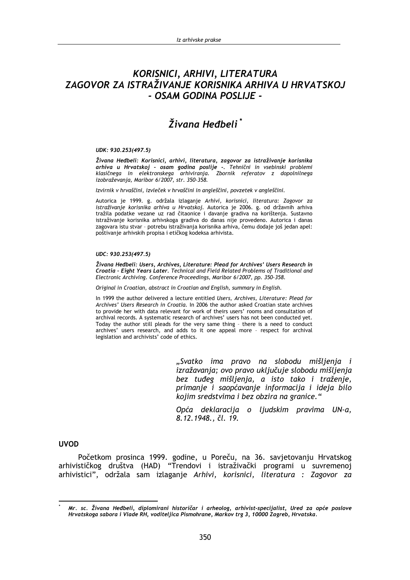# KORISNICI, ARHIVI, LITERATURA ZAGOVOR ZA ISTRAŽIVANJE KORISNIKA ARHIVA U HRVATSKOJ - OSAM GODINA POSLIJE -

# Živana Heđbeli\*

#### UDK: 930.253(497.5)

Živana Heđbeli: Korisnici, arhivi, literatura, zagovor za istraživanje korisnika arhiva u Hrvatskoj - osam godina poslije - Tehnični in vsebinski problemi klasičnega in elektronskega arhiviranja. Zbornik referatov z dopolnilnega izobraževanja, Maribor 6/2007, str. 350-358.

Izvirnik v hrvaščini, izvleček v hrvaščini in angleščini, povzetek v angleščini.

Autorica je 1999. g. održala izlaganje Arhivi, korisnici, literatura: Zagovor za istraživanje korisnika arhiva u Hrvatskoj. Autorica je 2006. g. od državnih arhiva tražila podatke vezane uz rad čitaonice i davanje gradiva na korištenja. Sustavno istraživanje korisnika arhivskoga gradiva do danas nije provedeno. Autorica i danas zagovara istu stvar - potrebu istraživanja korisnika arhiva, čemu dodaje još jedan apel: poštivanje arhivskih propisa i etičkog kodeksa arhivista.

### UDC: 930.253(497.5)

Živana Heđbeli: Users, Archives, Literature: Plead for Archives' Users Research in Croatia - Eight Years Later. Technical and Field Related Problems of Traditional and Electronic Archiving. Conference Proceedings, Maribor 6/2007, pp. 350-358.

Original in Croatian, abstract in Croatian and English, summary in English.

In 1999 the author delivered a lecture entitled Users, Archives, Literature: Plead for Archives' Users Research in Croatia. In 2006 the author asked Croatian state archives to provide her with data relevant for work of theirs users' rooms and consultation of archival records. A systematic research of archives' users has not been conducted yet. Today the author still pleads for the very same thing - there is a need to conduct archives' users research, and adds to it one appeal more - respect for archival legislation and archivists' code of ethics.

> "Svatko ima pravo na slobodu mišljenja i izražavanja; ovo pravo uključuje slobodu mišljenja bez tuđeg mišljenja, a isto tako i traženje, primanje i saopćavanje informacija i ideja bilo kojim sredstvima i bez obzira na granice."

> Opća deklaracija o ljudskim pravima UN-a, 8.12.1948., čl. 19.

### **UVOD**

Početkom prosinca 1999. godine, u Poreču, na 36. savjetovanju Hrvatskog arhivističkog društva (HAD) "Trendovi i istraživački programi u suvremenoj arhivistici", održala sam izlaganje Arhivi, korisnici, literatura : Zagovor za

Mr. sc. Živana Heđbeli, diplomirani historičar i arheolog, arhivist-specijalist, Ured za opće poslove Hrvatskoga sabora i Vlade RH, voditeljica Pismohrane, Markov trg 3, 10000 Zagreb, Hrvatska.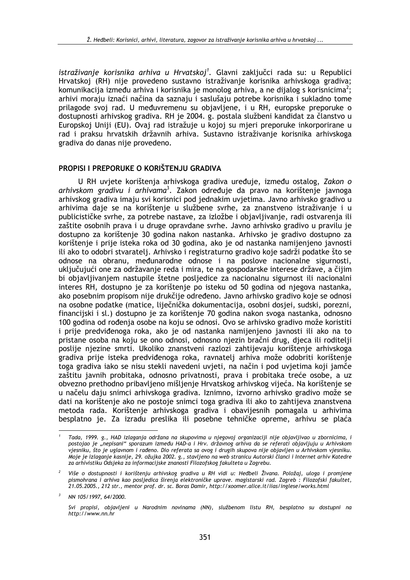istraživanie korisnika arhiva u Hrvatskoi<sup>1</sup>. Glavni zakliučci rada su: u Republici Hrvatskoj (RH) nije provedeno sustavno istraživanje korisnika arhivskoga gradiva; komunikacija između arhiva i korisnika je monolog arhiva, a ne dijalog s korisnicima<sup>2</sup>; arhivi moraju iznaći načina da saznaju i saslušaju potrebe korisnika i sukladno tome prilagode svoj rad. U međuvremenu su objavljene, i u RH, europske preporuke o dostupnosti arhivskog gradiva. RH je 2004. g. postala službeni kandidat za članstvo u Europskoj Uniji (EU). Ovaj rad istražuje u kojoj su mjeri preporuke inkorporirane u rad i praksu hrvatskih državnih arhiva. Sustavno istraživanje korisnika arhivskoga gradiva do danas nije provedeno.

### PROPISI I PREPORUKE O KORIŠTENJU GRADIVA

U RH uvjete korištenja arhivskoga gradiva uređuje, između ostalog, Zakon o arhivskom gradivu i arhivama<sup>3</sup>. Zakon određuje da pravo na korištenje javnoga arhivskog gradiva imaju svi korisnici pod jednakim uvjetima. Javno arhivsko gradivo u arhivima daje se na korištenje u službene svrhe, za znanstveno istraživanje i u publicističke svrhe, za potrebe nastave, za izložbe i objavljivanje, radi ostvarenja ili zaštite osobnih prava i u druge opravdane svrhe. Javno arhivsko gradivo u pravilu je dostupno za korištenje 30 godina nakon nastanka. Arhivsko je gradivo dostupno za korištenje i prije isteka roka od 30 godina, ako je od nastanka namijenjeno javnosti ili ako to odobri stvaratelj. Arhivsko i registraturno gradivo koje sadrži podatke što se odnose na obranu, međunarodne odnose i na poslove nacionalne sigurnosti, uključujući one za održavanje reda i mira, te na gospodarske interese države, a čijim bi objavljivanjem nastupile štetne posljedice za nacionalnu sigurnost ili nacionalni interes RH, dostupno je za korištenje po isteku od 50 godina od njegova nastanka, ako posebnim propisom nije drukčije određeno. Javno arhivsko gradivo koje se odnosi na osobne podatke (matice, liječnička dokumentacija, osobni dosjei, sudski, porezni, financijski i sl.) dostupno je za korištenje 70 godina nakon svoga nastanka, odnosno 100 godina od rođenia osobe na koju se odnosi. Ovo se arhivsko gradivo može koristiti i prije predviđenoga roka, ako je od nastanka namijenjeno javnosti ili ako na to pristane osoba na koju se ono odnosi, odnosno njezin bračni drug, djeca ili roditelji poslije njezine smrti. Ukoliko znanstveni razlozi zahtijevaju korištenje arhivskoga gradiva prije isteka predviđenoga roka, ravnatelj arhiva može odobriti korištenje toga gradiva jako se nisu stekli navedeni uvieti, na način i pod uvietima koji jamče zaštitu javnih probitaka, odnosno privatnosti, prava i probitaka treće osobe, a uz obvezno prethodno pribavljeno mišljenje Hrvatskog arhivskog vijeća. Na korištenje se u načelu daju snimci arhivskoga gradiva. Iznimno, izvorno arhivsko gradivo može se dati na korištenje ako ne postoje snimci toga gradiva ili ako to zahtijeva znanstvena metoda rada. Korištenje arhivskoga gradiva i obavijesnih pomagala u arhivima besplatno je. Za izradu preslika ili posebne tehničke opreme, arhivu se plaća

Tada, 1999. g., HAD izlaganja održana na skupovima u njegovoj organizaciji nije objavljivao u zbornicima, i postojao je "nepisani" sporazum između HAD-a i Hrv. državnog arhiva da se referati objavljuju u Arhivskom vjesniku, što je uglavnom i rađeno. Dio referata sa ovog i drugih skupova nije objavljen u Arhivskom vjesniku. Moje je izlaganje kasnije, 29. ožujka 2002. g., stavljeno na web stranicu Autorski članci i Internet arhiv Katedre za arhivistiku Odsjeka za informacijske znanosti Filozofskog fakulteta u Zagrebu.

Više o dostupnosti i korištenju arhivskog gradiva u RH vidi u: Heđbeli Živana. Položaj, uloga i promjene pismohrana i arhiva kao posljedica širenja elektroničke uprave. magistarski rad. Zagreb: Filozofski fakultet, 21.05.2005., 212 str., mentor prof. dr. sc. Boras Damir, http://xoomer.alice.it/iias/inglese/works.html

NN 105/1997, 64/2000.

Svi propisi, objavljeni u Narodnim novinama (NN), službenom listu RH, besplatno su dostupni na http://www.nn.hr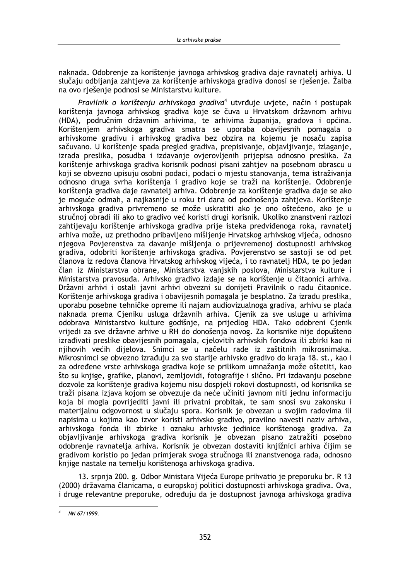naknada. Odobrenie za korištenie javnoga arhivskog gradiva daje ravnatelj arhiva. U slučaju odbijanja zahtieva za korištenje arhivskoga gradiva donosi se rješenje. Žalba na ovo riešenie podnosi se Ministarstvu kulture.

Pravilnik o korišteniu arhivskoga gradiva<sup>4</sup> utvrđuje uvjete, način i postupak korištenja javnoga arhivskog gradiva koje se čuva u Hrvatskom državnom arhivu (HDA), područnim državnim arhivima, te arhivima županija, gradova i općina. Korištenjem arhivskoga gradiva smatra se uporaba obavijesnih pomagala o arhivskome gradivu i arhivskog gradiva bez obzira na kojemu je nosaču zapisa sačuvano. U korištenje spada pregled gradiva, prepisivanje, objavljivanje, izlaganje, izrada preslika, posudba i izdavanje ovjerovljenih prijepisa odnosno preslika. Za korištenje arhivskoga gradiva korisnik podnosi pisani zahtjev na posebnom obrascu u koji se obvezno upisuju osobni podaci, podaci o mjestu stanovanja, tema istraživanja odnosno druga svrha korištenja i gradivo koje se traži na korištenje. Odobrenje korištenja gradiva daje ravnatelj arhiva. Odobrenje za korištenje gradiva daje se ako je moguće odmah, a najkasnije u roku tri dana od podnošenja zahtjeva. Korištenje arhivskoga gradiva privremeno se može uskratiti ako je ono oštećeno, ako je u stručnoj obradi ili ako to gradivo već koristi drugi korisnik. Ukoliko znanstveni razlozi zahtijevaju korištenje arhivskoga gradiva prije isteka predviđenoga roka, ravnatelj arhiva može, uz prethodno pribavljeno mišljenje Hrvatskog arhivskog vijeća, odnosno njegova Povjerenstva za davanje mišljenja o prijevremenoj dostupnosti arhivskog gradiva, odobriti korištenje arhivskoga gradiva. Povjerenstvo se sastoji se od pet članova iz redova članova Hrvatskog arhivskog vijeća, i to ravnatelj HDA, te po jedan član iz Ministarstva obrane, Ministarstva vaniskih poslova, Ministarstva kulture i Ministarstva pravosuđa. Arhivsko gradivo izdaje se na korištenje u čitaonici arhiva. Državni arhivi i ostali javni arhivi obvezni su donijeti Pravilnik o radu čitaonice. Korištenje arhivskoga gradiva i obavijesnih pomagala je besplatno. Za izradu preslika, uporabu posebne tehničke opreme ili najam audiovizualnoga gradiva, arhivu se plaća naknada prema Cieniku usluga državnih arhiva. Cienik za sve usluge u arhivima odobrava Ministarstvo kulture godišnie, na prijedlog HDA, Tako odobreni Cienik vrijedi za sve državne arhive u RH do donošenja novog. Za korisnike nije dopušteno izrađivati preslike obavijesnih pomagala, cjelovitih arhivskih fondova ili zbirki kao ni njihovih većih dijelova. Snimci se u načelu rade iz zaštitnih mikrosnimaka. Mikrosnimci se obvezno izrađuju za svo starije arhivsko gradivo do kraja 18. st., kao i za određene vrste arhivskoga gradiva koje se prilikom umnažanja može oštetiti, kao što su knjige, grafike, planovi, zemljovidi, fotografije i slično. Pri izdavanju posebne dozvole za korištenje gradiva kojemu nisu dospjeli rokovi dostupnosti, od korisnika se traži pisana izjava kojom se obvezuje da neće učiniti javnom niti jednu informaciju koja bi mogla povrijediti javni ili privatni probitak, te sam snosi svu zakonsku i materijalnu odgovornost u slučaju spora. Korisnik je obvezan u svojim radovima ili napisima u kojima kao izvor koristi arhivsko gradivo, pravilno navesti naziv arhiva, arhivskoga fonda ili zbirke i oznaku arhivske jedinice korištenoga gradiva. Za objavljivanje arhivskoga gradiva korisnik je obvezan pisano zatražiti posebno odobrenje ravnatelja arhiva. Korisnik je obvezan dostaviti knjižnici arhiva čijim se gradivom koristio po jedan primjerak svoga stručnoga ili znanstvenoga rada, odnosno knjige nastale na temelju korištenoga arhivskoga gradiva.

13. srpnja 200. g. Odbor Ministara Vijeća Europe prihvatio je preporuku br. R 13 (2000) državama članicama, o europskoj politici dostupnosti arhivskoga gradiva. Ova, i druge relevantne preporuke, određuju da je dostupnost javnoga arhivskoga gradiva

NN 67/1999.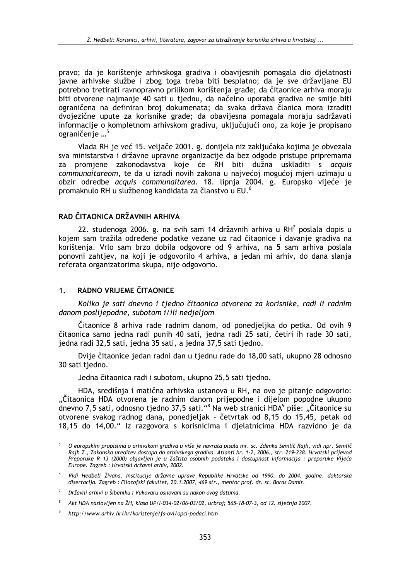pravo: da je korištenje arhivskoga gradiva i obavijesnih pomagala dio djelatnosti javne arhivske službe i zbog toga treba biti besplatno; da je sve državljane EU potrebno tretirati ravnopravno prilikom korištenia građe; da čitaonice arhiva moraju biti otvorene najmanje 40 sati u tjednu, da načelno uporaba gradiva ne smije biti ograničena na definiran broj dokumenata; da svaka država članica mora izraditi dvojezične upute za korisnike građe; da obavijesna pomagala moraju sadržavati informacije o kompletnom arhivskom gradivu, uključujući ono, za koje je propisano ograničenje ...<sup>5</sup>

Vlada RH je već 15. veljače 2001. g. donijela niz zaključaka kojima je obvezala sva ministarstva i državne upravne organizacije da bez odgode pristupe pripremama promjene zakonodavstva koje će RH biti dužna uskladiti s acquis za communaitareom, te da u izradi novih zakona u najvećoj mogućoj mjeri uzimaju u obzir odredbe acquis communaitarea. 18. lipnja 2004. g. Europsko vijeće je promaknulo RH u službenog kandidata za članstvo u EU.<sup>6</sup>

# RAD ČITAONICA DRŽAVNIH ARHIVA

22. studenoga 2006. g. na svih sam 14 državnih arhiva u RH<sup>7</sup> poslala dopis u kojem sam tražila određene podatke vezane uz rad čitaonice i davanje gradiva na korištenja. Vrlo sam brzo dobila odgovore od 9 arhiva, na 5 sam arhiva poslala ponovni zahtjev, na koji je odgovorilo 4 arhiva, a jedan mi arhiv, do dana slanja referata organizatorima skupa, nije odgovorio.

#### RADNO VRIJEME ČITAONICE  $1<sub>1</sub>$

Koliko je sati dnevno i tjedno čitaonica otvorena za korisnike, radi li radnim danom poslijepodne, subotom i/ili nedjeliom

Čitaonice 8 arhiva rade radnim danom, od ponedjeljka do petka. Od ovih 9 čitaonica samo jedna radi punih 40 sati, jedna radi 25 sati, četiri ih rade 30 sati, jedna radi 32,5 sati, jedna 35 sati, a jedna 37,5 sati tjedno.

Dvije čitaonice jedan radni dan u tjednu rade do 18,00 sati, ukupno 28 odnosno 30 sati tjedno.

Jedna čitaonica radi i subotom, ukupno 25.5 sati tiedno.

HDA, središnja i matična arhivska ustanova u RH, na ovo je pitanje odgovorio: "Čitaonica HDA otvorena je radnim danom prijepodne i dijelom popodne ukupno dnevno 7,5 sati, odnosno tjedno 37,5 sati."<sup>8</sup> Na web stranici HDA<sup>9</sup> piše: "Čitaonice su otvorene svakog radnog dana, ponedjeljak - četvrtak od 8,15 do 15,45, petak od 18,15 do 14,00." lz razgovora s korisnicima i djelatnicima HDA razvidno je da

O europskim propisima o arhivskom gradiva u više je navrata pisala mr. sc. Zdenka Semlič Rajh, vidi npr. Semlič Rajh Z., Zakonska ureditev dostopa do arhivskega gradiva. Atlanti br. 1-2, 2006., str. 219-238. Hrvatski prijevod Preporuke R 13 (2000) objavljen je u Zaštita osobnih podataka i dostupnost informacija : preporuke Vijeća Europe. Zagreb : Hrvatski državni arhiv, 2002.

Vidi Heđbeli Živana. Institucije državne uprave Republike Hrvatske od 1990. do 2004. godine, doktorska disertacija. Zagreb : Filozofski fakultet, 20.1.2007, 469 str., mentor prof. dr. sc. Boras Damir.

Državni arhivi u Šibeniku i Vukovaru osnovani su nakon ovog datuma.

<sup>8</sup> Akt HDA naslovljen na ŽH, klasa UP/I-034-02/06-03/02, urbroj; 565-18-07-3, od 12. siječnja 2007.

http://www.arhiv.hr/hr/koristenje/fs-ovi/opci-podaci.htm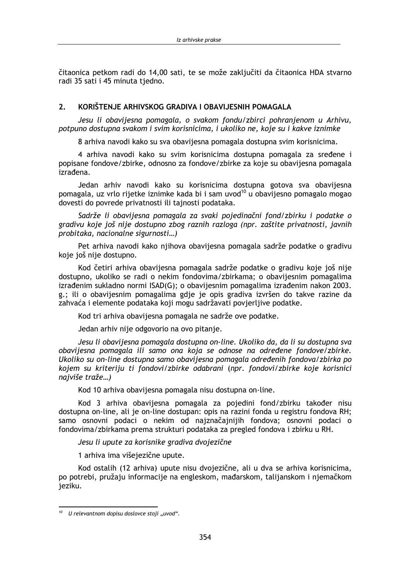čitaonica petkom radi do 14.00 sati, te se može zakliučiti da čitaonica HDA stvarno radi 35 sati i 45 minuta tiedno.

#### $\overline{2}$ KORIŠTENJE ARHIVSKOG GRADIVA I OBAVIJESNIH POMAGALA

Jesu li obavijesna pomagala, o svakom fondu/zbirci pohranjenom u Arhivu, potpuno dostupna svakom i svim korisnicima, i ukoliko ne, koje su i kakve iznimke

8 arhiva navodi kako su sva obavijesna pomagala dostupna svim korisnicima.

4 arhiva navodi kako su svim korisnicima dostupna pomagala za sređene i popisane fondove/zbirke, odnosno za fondove/zbirke za koje su obavijesna pomagala izrađena.

Jedan arhiy navodi kako su korisnicima dostupna gotova sva obavijesna pomagala, uz vrlo rijetke iznimke kada bi i sam uvod<sup>10</sup> u obavijesno pomagalo mogao dovesti do povrede privatnosti ili tajnosti podataka.

Sadrže li obavijesna pomagala za svaki pojedinačni fond/zbirku i podatke o gradivu koje još nije dostupno zbog raznih razloga (npr. zaštite privatnosti, javnih probitaka, nacionalne sigurnosti...)

Pet arhiva navodi kako njihova obavijesna pomagala sadrže podatke o gradivu koje još nije dostupno.

Kod četiri arhiva obavijesna pomagala sadrže podatke o gradivu koje još nije dostupno, ukoliko se radi o nekim fondovima/zbirkama; o obavijesnim pomagalima izrađenim sukladno normi ISAD(G); o obavijesnim pomagalima izrađenim nakon 2003. g.; ili o obavijesnim pomagalima gdje je opis gradiva izvršen do takve razine da zahvaća i elemente podataka koji mogu sadržavati povjerljive podatke.

Kod tri arhiva obavijesna pomagala ne sadrže ove podatke.

Jedan arhiv nije odgovorio na ovo pitanje.

Jesu li obavijesna pomagala dostupna on-line. Ukoliko da, da li su dostupna sva obavijesna pomagala ili samo ona koja se odnose na određene fondove/zbirke. Ukoliko su on-line dostupna samo obavijesna pomagala određenih fondova/zbirka po kojem su kriteriju ti fondovi/zbirke odabrani (npr. fondovi/zbirke koje korisnici naiviše traže...)

Kod 10 arhiva obavijesna pomagala nisu dostupna on-line.

Kod 3 arhiva obavijesna pomagala za pojedini fond/zbirku također nisu dostupna on-line, ali je on-line dostupan: opis na razini fonda u registru fondova RH; samo osnovni podaci o nekim od najznačajnijih fondova; osnovni podaci o fondovima/zbirkama prema strukturi podataka za pregled fondova i zbirku u RH.

Jesu li upute za korisnike gradiva dvojezične

1 arhiva ima višejezične upute.

Kod ostalih (12 arhiva) upute nisu dvojezične, ali u dva se arhiva korisnicima, po potrebi, pružaju informacije na engleskom, mađarskom, talijanskom i njemačkom jeziku.

 $10$  U relevantnom dopisu doslovce stoji "uvod".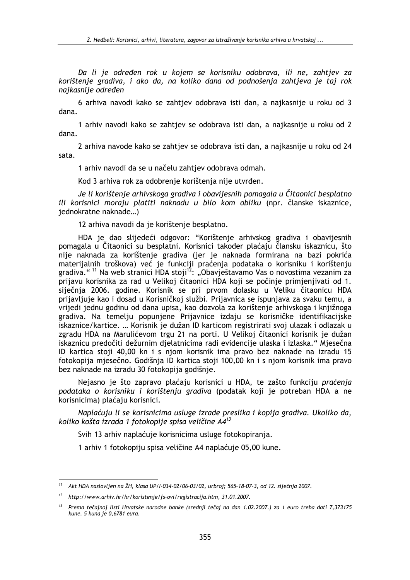Da li je određen rok u kojem se korisniku odobrava, ili ne, zahtjev za korištenie gradiva, i ako da, na koliko dana od podnošenia zahtieva je taj rok naikasniie određen

6 arhiva navodi kako se zahtiev odobrava isti dan, a najkasnije u roku od 3 dana.

1 arhiv navodi kako se zahtiev se odobrava isti dan, a najkasnije u roku od 2 dana.

2 arhiva navode kako se zahtjev se odobrava isti dan, a najkasnije u roku od 24 sata.

1 arhiv navodi da se u načelu zahtjev odobrava odmah.

Kod 3 arhiva rok za odobrenje korištenja nije utvrđen.

Je li korištenje arhivskoga gradiva i obavijesnih pomagala u Čitaonici besplatno ili korisnici moraju platiti naknadu u bilo kom obliku (npr. članske iskaznice, jednokratne naknade...)

12 arhiva navodi da je korištenje besplatno.

HDA je dao slijedeći odgovor: "Korištenje arhivskog gradiva i obavijesnih pomagala u Čitaonici su besplatni. Korisnici također plaćaju člansku iskaznicu, što nije naknada za korištenje gradiva (jer je naknada formirana na bazi pokrića materijalnih troškova) već je funkciji praćenja podataka o korisniku i korištenju gradiva."<sup>11</sup> Na web stranici HDA stoji<sup>12</sup>: "Obavještavamo Vas o novostima vezanim za prijavu korisnika za rad u Velikoj čitaonici HDA koji se počinje primjenjivati od 1. siječnja 2006. godine. Korisnik se pri prvom dolasku u Veliku čitaonicu HDA prijavljuje kao i dosad u Korisničkoj službi. Prijavnica se ispunjava za svaku temu, a vrijedi jednu godinu od dana upisa, kao dozvola za korištenje arhivskoga i knjižnoga gradiva. Na temelju popunjene Prijavnice izdaju se korisničke identifikacijske iskaznice/kartice. ... Korisnik je dužan ID karticom registrirati svoj ulazak i odlazak u zgradu HDA na Marulićevom trgu 21 na porti. U Velikoj čitaonici korisnik je dužan iskaznicu predočiti dežurnim djelatnicima radi evidencije ulaska i izlaska." Mjesečna ID kartica stoji 40.00 kn i s njom korisnik ima pravo bez naknade na izradu 15 fotokopija mjesečno. Godišnja ID kartica stoji 100.00 kn i s njom korisnik ima pravo bez naknade na izradu 30 fotokopija godišnje.

Nejasno je što zapravo plaćaju korisnici u HDA, te zašto funkciju praćenja podataka o korisniku i korištenju gradiva (podatak koji je potreban HDA a ne korisnicima) plaćaju korisnici.

Naplaćuju li se korisnicima usluge izrade preslika i kopija gradiva. Ukoliko da, koliko košta izrada 1 fotokopije spisa veličine A4<sup>13</sup>

Svih 13 arhiv naplaćuje korisnicima usluge fotokopiranja.

1 arhiv 1 fotokopiju spisa veličine A4 naplaćuje 05,00 kune.

<sup>&</sup>lt;sup>11</sup> Akt HDA naslovljen na ŽH, klasa UP/I-034-02/06-03/02, urbroj; 565-18-07-3, od 12. siječnja 2007.

<sup>&</sup>lt;sup>12</sup> http://www.arhiv.hr/hr/koristenje/fs-ovi/registracija.htm, 31.01.2007.

<sup>&</sup>lt;sup>13</sup> Prema tečajnoj listi Hrvatske narodne banke (srednji tečaj na dan 1.02.2007.) za 1 euro treba dati 7,373175 kune. 5 kuna je 0,6781 eura.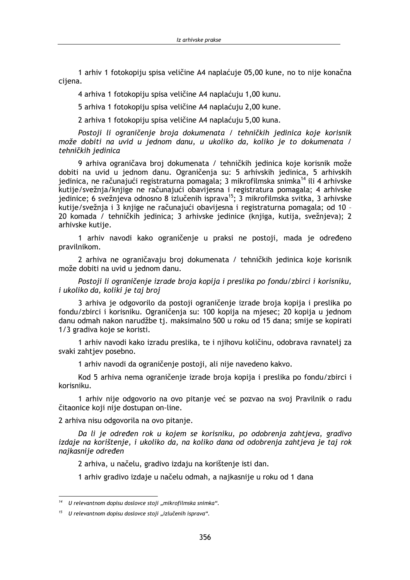1 arhiv 1 fotokopiju spisa veličine A4 naplaćuje 05.00 kune, no to nije konačna ciiena.

4 arhiva 1 fotokopiju spisa veličine A4 naplaćuju 1,00 kunu.

5 arhiva 1 fotokopiju spisa veličine A4 naplaćuju 2.00 kune.

2 arhiva 1 fotokopiju spisa veličine A4 naplaćuju 5,00 kuna.

Postoji li ograničenje broja dokumenata / tehničkih jedinica koje korisnik može dobiti na uvid u jednom danu, u ukoliko da, koliko je to dokumenata / tehničkih jedinica

9 arhiva ograničava broj dokumenata / tehničkih jedinica koje korisnik može dobiti na uvid u jednom danu. Ograničenja su: 5 arhivskih jedinica, 5 arhivskih jedinica, ne računajući registraturna pomagala; 3 mikrofilmska snimka<sup>14</sup> ili 4 arhivske kutije/svežnja/knjige ne računajući obavijesna i registratura pomagala; 4 arhivske jedinice; 6 svežnjeva odnosno 8 izlučenih isprava<sup>15</sup>; 3 mikrofilmska svitka, 3 arhivske kutije/svežnja i 3 knjige ne računajući obavijesna i registraturna pomagala; od 10 -20 komada / tehničkih jedinica; 3 arhivske jedinice (knjiga, kutija, svežnjeva); 2 arhivske kutije.

1 arhiv navodi kako ograničenje u praksi ne postoji, mada je određeno pravilnikom.

2 arhiva ne ograničavaju broj dokumenata / tehničkih jedinica koje korisnik može dobiti na uvid u jednom danu.

Postoji li ograničenje izrade broja kopija i preslika po fondu/zbirci i korisniku, i ukoliko da, koliki je taj broj

3 arhiva je odgovorilo da postoji ograničenje izrade broja kopija i preslika po fondu/zbirci i korisniku. Ograničenja su: 100 kopija na mjesec; 20 kopija u jednom danu odmah nakon narudžbe ti, maksimalno 500 u roku od 15 dana; smije se kopirati 1/3 gradiva koje se koristi.

1 arhiv navodi kako izradu preslika, te i njihovu količinu, odobrava ravnatelj za svaki zahtiev posebno.

1 arhiv navodi da ograničenje postoji, ali nije navedeno kakvo.

Kod 5 arhiva nema ograničenie izrade broja kopija i preslika po fondu/zbirci i korisniku.

1 arhiv nije odgovorio na ovo pitanje već se pozvao na svoj Pravilnik o radu čitaonice koji nije dostupan on-line.

2 arhiva nisu odgovorila na ovo pitanje.

Da li je određen rok u kojem se korisniku, po odobrenja zahtjeva, gradivo izdaje na korištenje, i ukoliko da, na koliko dana od odobrenja zahtjeva je taj rok najkasnije određen

2 arhiva, u načelu, gradivo izdaju na korištenje isti dan.

1 arhiv gradivo izdaje u načelu odmah, a najkasnije u roku od 1 dana

<sup>&</sup>lt;sup>14</sup> U relevantnom dopisu doslovce stoji "mikrofilmska snimka".

<sup>&</sup>lt;sup>15</sup> U relevantnom dopisu doslovce stoji "izlučenih isprava".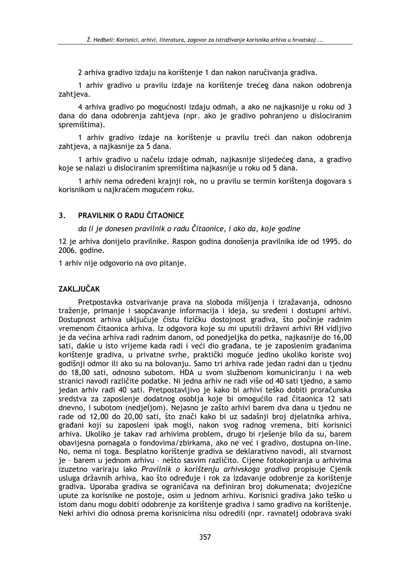2 arhiva gradivo izdaju na korištenie 1 dan nakon naručivania gradiva.

1 arhiv gradivo u pravilu izdaje na korištenje trećeg dana nakon odobrenja zahtjeva.

4 arhiva gradivo po mogućnosti izdaju odmah, a ako ne najkasnije u roku od 3 dana do dana odobrenja zahtjeva (npr. ako je gradivo pohranjeno u dislociranim spremištima).

1 arhiv gradivo izdaje na korištenje u pravilu treći dan nakon odobrenja zahtjeva, a najkasnije za 5 dana.

1 arhiv gradivo u načelu izdaje odmah, najkasnije slijedećeg dana, a gradivo koje se nalazi u dislociranim spremištima najkasnije u roku od 5 dana.

1 arhiv nema određeni krajnji rok, no u pravilu se termin korištenja dogovara s korisnikom u najkraćem mogućem roku.

#### PRAVILNIK O RADU ČITAONICE  $3<sup>1</sup>$

da li je donesen pravilnik o radu Čitaonice, i ako da, koje godine

12 je arhiva donijelo pravilnike. Raspon godina donošenja pravilnika ide od 1995. do 2006. godine.

1 arhiv nije odgovorio na ovo pitanje.

## **ZAKLJUČAK**

Pretpostavka ostvarivanje prava na sloboda mišljenja i izražavanja, odnosno traženje, primanje i saopćavanje informacija i ideja, su sređeni i dostupni arhivi. Dostupnost arhiva uključuje čistu fizičku dostojnost gradiva, što počinje radnim vremenom čitaonica arhiva. Iz odgovora koje su mi uputili državni arhivi RH vidlijvo je da većina arhiva radi radnim danom, od ponedielika do petka, najkasnije do 16.00 sati, dakle u isto vrijeme kada radi i veći dio građana, te je zaposlenim građanima korištenje gradiva, u privatne svrhe, praktički moguće jedino ukoliko koriste svoj godišnji odmor ili ako su na bolovanju. Samo tri arhiva rade jedan radni dan u tjednu do 18,00 sati, odnosno subotom. HDA u svom službenom komuniciranju i na web stranici navodi različite podatke. Ni jedna arhiv ne radi više od 40 sati tjedno, a samo jedan arhiv radi 40 sati. Pretpostavljivo je kako bi arhivi teško dobiti proračunska sredstva za zaposlenje dodatnog osoblja koje bi omogućilo rad čitaonica 12 sati dnevno, i subotom (nedjeljom). Nejasno je zašto arhivi barem dva dana u tjednu ne rade od 12,00 do 20,00 sati, što znači kako bi uz sadašnji broj djelatnika arhiva, građani koji su zaposleni ipak mogli, nakon svog radnog vremena, biti korisnici arhiva. Ukoliko je takav rad arhivima problem, drugo bi rješenje bilo da su, barem obavijesna pomagala o fondovima/zbirkama, ako ne već i gradivo, dostupna on-line. No, nema ni toga. Besplatno korištenje gradiva se deklarativno navodi, ali stvarnost je - barem u jednom arhivu - nešto sasvim različito. Cijene fotokopiranja u arhivima izuzetno variraju jako Pravilnik o korištenju arhivskoga gradiva propisuje Cjenik usluga državnih arhiva, kao što određuje i rok za izdavanje odobrenje za korištenje gradiva. Uporaba gradiva se ograničava na definiran broj dokumenata; dvojezične upute za korisnike ne postoje, osim u jednom arhivu. Korisnici gradiva jako teško u istom danu mogu dobiti odobrenje za korištenje gradiva i samo gradivo na korištenje. Neki arhivi dio odnosa prema korisnicima nisu odredili (npr. ravnatelj odobrava svaki